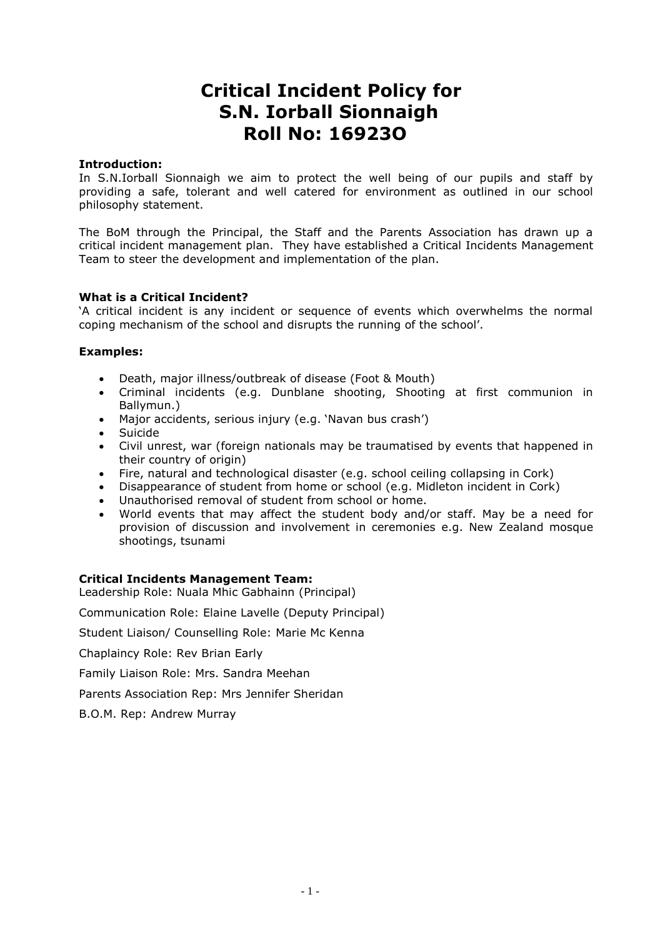# **Critical Incident Policy for S.N. Iorball Sionnaigh Roll No: 16923O**

# **Introduction:**

In S.N.Iorball Sionnaigh we aim to protect the well being of our pupils and staff by providing a safe, tolerant and well catered for environment as outlined in our school philosophy statement.

The BoM through the Principal, the Staff and the Parents Association has drawn up a critical incident management plan. They have established a Critical Incidents Management Team to steer the development and implementation of the plan.

# **What is a Critical Incident?**

'A critical incident is any incident or sequence of events which overwhelms the normal coping mechanism of the school and disrupts the running of the school'.

# **Examples:**

- Death, major illness/outbreak of disease (Foot & Mouth)
- Criminal incidents (e.g. Dunblane shooting, Shooting at first communion in Ballymun.)
- Major accidents, serious injury (e.g. 'Navan bus crash')
- Suicide
- Civil unrest, war (foreign nationals may be traumatised by events that happened in their country of origin)
- Fire, natural and technological disaster (e.g. school ceiling collapsing in Cork)
- Disappearance of student from home or school (e.g. Midleton incident in Cork)
- Unauthorised removal of student from school or home.
- World events that may affect the student body and/or staff. May be a need for provision of discussion and involvement in ceremonies e.g. New Zealand mosque shootings, tsunami

#### **Critical Incidents Management Team:**

Leadership Role: Nuala Mhic Gabhainn (Principal)

Communication Role: Elaine Lavelle (Deputy Principal)

Student Liaison/ Counselling Role: Marie Mc Kenna

Chaplaincy Role: Rev Brian Early

Family Liaison Role: Mrs. Sandra Meehan

Parents Association Rep: Mrs Jennifer Sheridan

B.O.M. Rep: Andrew Murray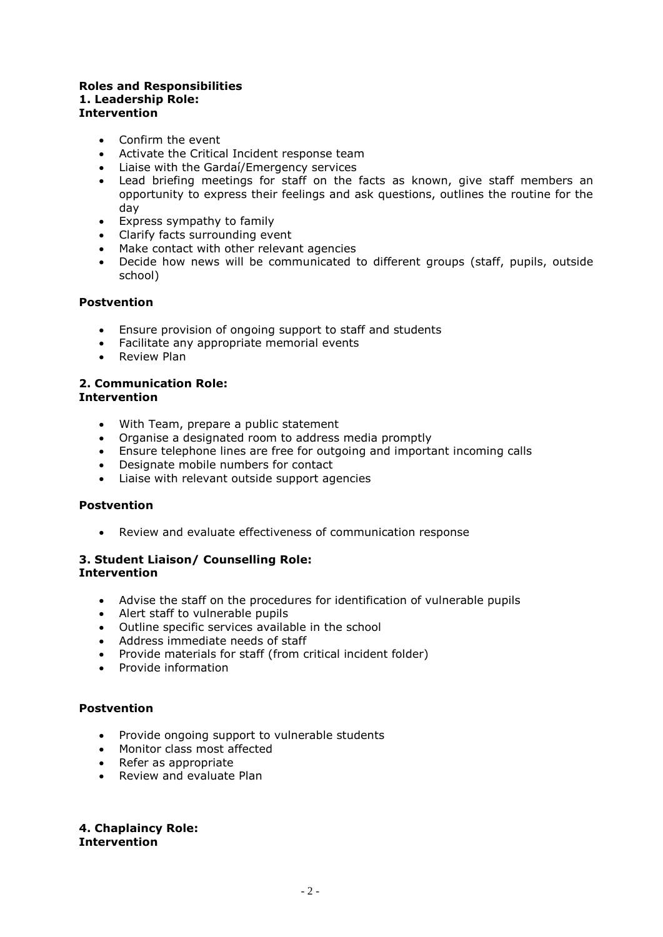#### **Roles and Responsibilities 1. Leadership Role: Intervention**

- Confirm the event
- Activate the Critical Incident response team
- Liaise with the Gardaí/Emergency services
- Lead briefing meetings for staff on the facts as known, give staff members an opportunity to express their feelings and ask questions, outlines the routine for the day
- Express sympathy to family
- Clarify facts surrounding event
- Make contact with other relevant agencies
- Decide how news will be communicated to different groups (staff, pupils, outside school)

# **Postvention**

- Ensure provision of ongoing support to staff and students
- Facilitate any appropriate memorial events
- Review Plan

#### **2. Communication Role: Intervention**

- With Team, prepare a public statement
- Organise a designated room to address media promptly
- Ensure telephone lines are free for outgoing and important incoming calls
- Designate mobile numbers for contact
- Liaise with relevant outside support agencies

#### **Postvention**

Review and evaluate effectiveness of communication response

# **3. Student Liaison/ Counselling Role: Intervention**

- Advise the staff on the procedures for identification of vulnerable pupils
- Alert staff to vulnerable pupils
- Outline specific services available in the school
- Address immediate needs of staff
- Provide materials for staff (from critical incident folder)
- Provide information

#### **Postvention**

- Provide ongoing support to vulnerable students
- Monitor class most affected
- Refer as appropriate
- Review and evaluate Plan

**4. Chaplaincy Role: Intervention**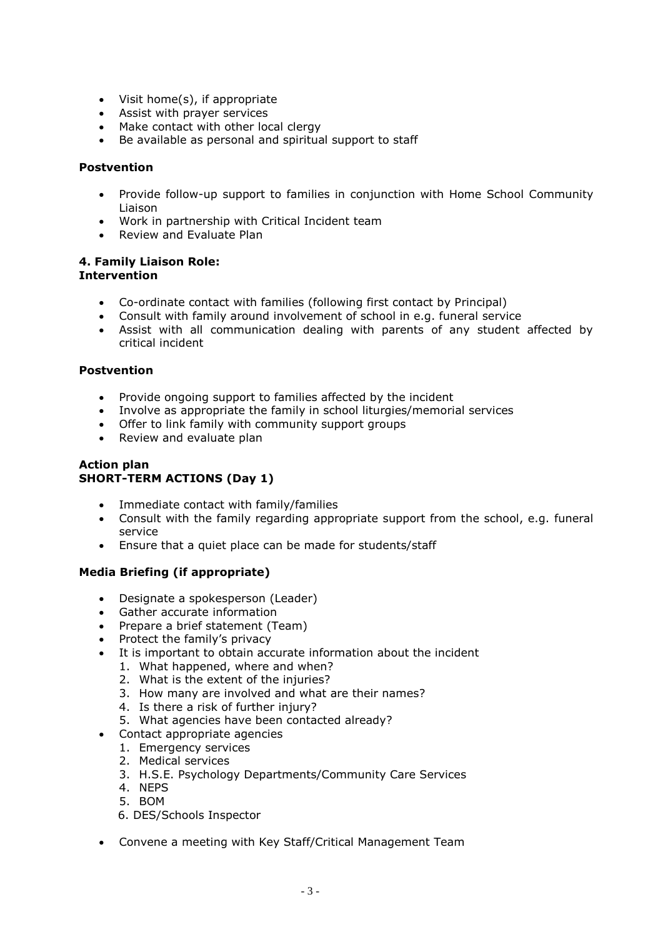- Visit home(s), if appropriate
- Assist with prayer services
- Make contact with other local clergy
- Be available as personal and spiritual support to staff

# **Postvention**

- Provide follow-up support to families in conjunction with Home School Community Liaison
- Work in partnership with Critical Incident team
- Review and Evaluate Plan

#### **4. Family Liaison Role: Intervention**

- Co-ordinate contact with families (following first contact by Principal)
- Consult with family around involvement of school in e.g. funeral service
- Assist with all communication dealing with parents of any student affected by critical incident

# **Postvention**

- Provide ongoing support to families affected by the incident
- Involve as appropriate the family in school liturgies/memorial services
- Offer to link family with community support groups
- Review and evaluate plan

# **Action plan SHORT-TERM ACTIONS (Day 1)**

- Immediate contact with family/families
- Consult with the family regarding appropriate support from the school, e.g. funeral service
- Ensure that a quiet place can be made for students/staff

# **Media Briefing (if appropriate)**

- Designate a spokesperson (Leader)
- Gather accurate information
- Prepare a brief statement (Team)
- Protect the family's privacy
- It is important to obtain accurate information about the incident
	- 1. What happened, where and when?
	- 2. What is the extent of the injuries?
	- 3. How many are involved and what are their names?
	- 4. Is there a risk of further injury?
	- 5. What agencies have been contacted already?
- Contact appropriate agencies
	- 1. Emergency services
	- 2. Medical services
	- 3. H.S.E. Psychology Departments/Community Care Services
	- 4. NEPS
	- 5. BOM
	- 6. DES/Schools Inspector
- Convene a meeting with Key Staff/Critical Management Team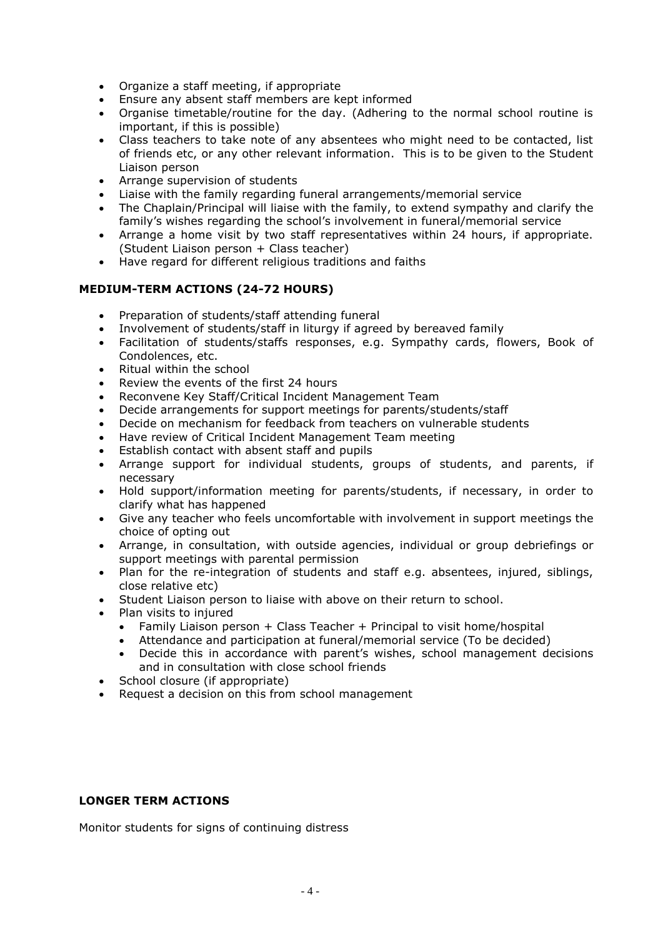- Organize a staff meeting, if appropriate
- Ensure any absent staff members are kept informed
- Organise timetable/routine for the day. (Adhering to the normal school routine is important, if this is possible)
- Class teachers to take note of any absentees who might need to be contacted, list of friends etc, or any other relevant information. This is to be given to the Student Liaison person
- Arrange supervision of students
- Liaise with the family regarding funeral arrangements/memorial service
- The Chaplain/Principal will liaise with the family, to extend sympathy and clarify the family's wishes regarding the school's involvement in funeral/memorial service
- Arrange a home visit by two staff representatives within 24 hours, if appropriate. (Student Liaison person + Class teacher)
- Have regard for different religious traditions and faiths

# **MEDIUM-TERM ACTIONS (24-72 HOURS)**

- Preparation of students/staff attending funeral
- Involvement of students/staff in liturgy if agreed by bereaved family
- Facilitation of students/staffs responses, e.g. Sympathy cards, flowers, Book of Condolences, etc.
- Ritual within the school
- Review the events of the first 24 hours
- Reconvene Key Staff/Critical Incident Management Team
- Decide arrangements for support meetings for parents/students/staff
- Decide on mechanism for feedback from teachers on vulnerable students
- Have review of Critical Incident Management Team meeting
- Establish contact with absent staff and pupils
- Arrange support for individual students, groups of students, and parents, if necessary
- Hold support/information meeting for parents/students, if necessary, in order to clarify what has happened
- Give any teacher who feels uncomfortable with involvement in support meetings the choice of opting out
- Arrange, in consultation, with outside agencies, individual or group debriefings or support meetings with parental permission
- Plan for the re-integration of students and staff e.g. absentees, injured, siblings, close relative etc)
- Student Liaison person to liaise with above on their return to school.
- Plan visits to injured
	- Family Liaison person + Class Teacher + Principal to visit home/hospital
	- Attendance and participation at funeral/memorial service (To be decided)
	- Decide this in accordance with parent's wishes, school management decisions and in consultation with close school friends
- School closure (if appropriate)
- Request a decision on this from school management

#### **LONGER TERM ACTIONS**

Monitor students for signs of continuing distress